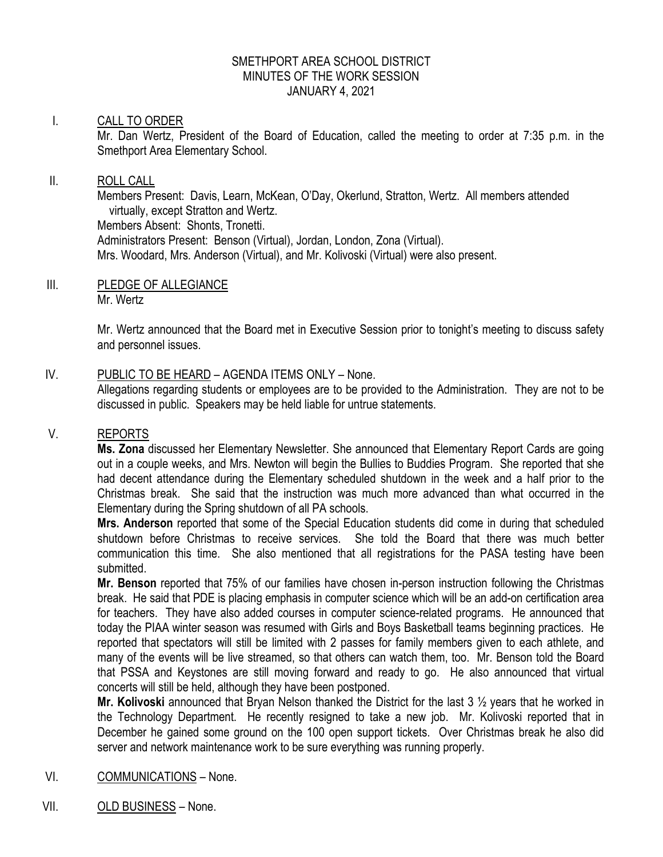## SMETHPORT AREA SCHOOL DISTRICT MINUTES OF THE WORK SESSION JANUARY 4, 2021

# I. CALL TO ORDER

Mr. Dan Wertz, President of the Board of Education, called the meeting to order at 7:35 p.m. in the Smethport Area Elementary School.

### II. ROLL CALL

Members Present: Davis, Learn, McKean, O'Day, Okerlund, Stratton, Wertz. All members attended virtually, except Stratton and Wertz. Members Absent: Shonts, Tronetti. Administrators Present: Benson (Virtual), Jordan, London, Zona (Virtual). Mrs. Woodard, Mrs. Anderson (Virtual), and Mr. Kolivoski (Virtual) were also present.

III. PLEDGE OF ALLEGIANCE Mr. Wertz

> Mr. Wertz announced that the Board met in Executive Session prior to tonight's meeting to discuss safety and personnel issues.

IV. PUBLIC TO BE HEARD – AGENDA ITEMS ONLY – None.

Allegations regarding students or employees are to be provided to the Administration. They are not to be discussed in public. Speakers may be held liable for untrue statements.

## V. REPORTS

**Ms. Zona** discussed her Elementary Newsletter. She announced that Elementary Report Cards are going out in a couple weeks, and Mrs. Newton will begin the Bullies to Buddies Program. She reported that she had decent attendance during the Elementary scheduled shutdown in the week and a half prior to the Christmas break. She said that the instruction was much more advanced than what occurred in the Elementary during the Spring shutdown of all PA schools.

**Mrs. Anderson** reported that some of the Special Education students did come in during that scheduled shutdown before Christmas to receive services. She told the Board that there was much better communication this time. She also mentioned that all registrations for the PASA testing have been submitted.

**Mr. Benson** reported that 75% of our families have chosen in-person instruction following the Christmas break. He said that PDE is placing emphasis in computer science which will be an add-on certification area for teachers. They have also added courses in computer science-related programs. He announced that today the PIAA winter season was resumed with Girls and Boys Basketball teams beginning practices. He reported that spectators will still be limited with 2 passes for family members given to each athlete, and many of the events will be live streamed, so that others can watch them, too. Mr. Benson told the Board that PSSA and Keystones are still moving forward and ready to go. He also announced that virtual concerts will still be held, although they have been postponed.

**Mr. Kolivoski** announced that Bryan Nelson thanked the District for the last 3 ½ years that he worked in the Technology Department. He recently resigned to take a new job. Mr. Kolivoski reported that in December he gained some ground on the 100 open support tickets. Over Christmas break he also did server and network maintenance work to be sure everything was running properly.

- VI. COMMUNICATIONS None.
- VII. OLD BUSINESS None.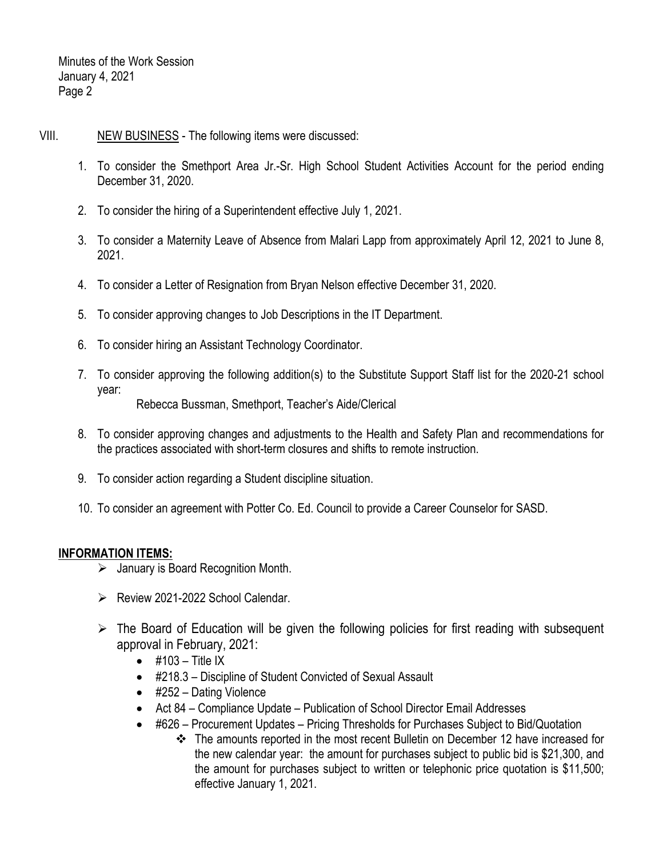- VIII. NEW BUSINESS The following items were discussed:
	- 1. To consider the Smethport Area Jr.-Sr. High School Student Activities Account for the period ending December 31, 2020.
	- 2. To consider the hiring of a Superintendent effective July 1, 2021.
	- 3. To consider a Maternity Leave of Absence from Malari Lapp from approximately April 12, 2021 to June 8, 2021.
	- 4. To consider a Letter of Resignation from Bryan Nelson effective December 31, 2020.
	- 5. To consider approving changes to Job Descriptions in the IT Department.
	- 6. To consider hiring an Assistant Technology Coordinator.
	- 7. To consider approving the following addition(s) to the Substitute Support Staff list for the 2020-21 school year: Rebecca Bussman, Smethport, Teacher's Aide/Clerical
	- 8. To consider approving changes and adjustments to the Health and Safety Plan and recommendations for the practices associated with short-term closures and shifts to remote instruction.
	- 9. To consider action regarding a Student discipline situation.
	- 10. To consider an agreement with Potter Co. Ed. Council to provide a Career Counselor for SASD.

# **INFORMATION ITEMS:**

- $\triangleright$  January is Board Recognition Month.
- $\triangleright$  Review 2021-2022 School Calendar.
- $\triangleright$  The Board of Education will be given the following policies for first reading with subsequent approval in February, 2021:
	- $\bullet$  #103 Title IX
	- #218.3 Discipline of Student Convicted of Sexual Assault
	- #252 Dating Violence
	- Act 84 Compliance Update Publication of School Director Email Addresses
	- #626 Procurement Updates Pricing Thresholds for Purchases Subject to Bid/Quotation
		- The amounts reported in the most recent Bulletin on December 12 have increased for the new calendar year: the amount for purchases subject to public bid is \$21,300, and the amount for purchases subject to written or telephonic price quotation is \$11,500; effective January 1, 2021.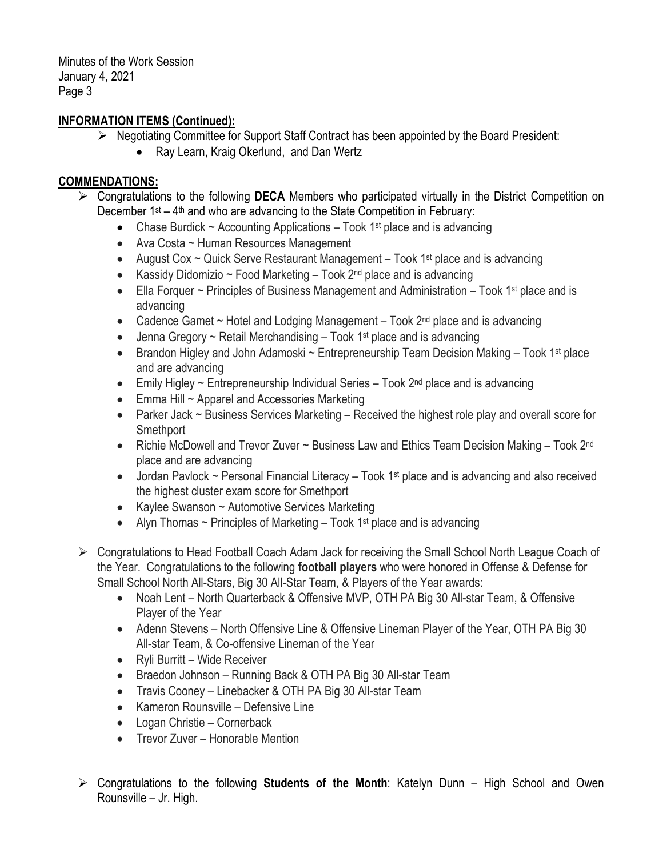Minutes of the Work Session January 4, 2021 Page 3

# **INFORMATION ITEMS (Continued):**

- $\triangleright$  Negotiating Committee for Support Staff Contract has been appointed by the Board President:
	- Ray Learn, Kraig Okerlund, and Dan Wertz

# **COMMENDATIONS:**

- Congratulations to the following **DECA** Members who participated virtually in the District Competition on December  $1^{st} - 4^{th}$  and who are advancing to the State Competition in February:
	- Chase Burdick  $\sim$  Accounting Applications Took 1<sup>st</sup> place and is advancing
	- Ava Costa ~ Human Resources Management
	- August Cox  $\sim$  Quick Serve Restaurant Management Took 1<sup>st</sup> place and is advancing
	- Kassidy Didomizio ~ Food Marketing  $-$  Took  $2^{nd}$  place and is advancing
	- Ella Forquer  $\sim$  Principles of Business Management and Administration Took 1<sup>st</sup> place and is advancing
	- Cadence Gamet  $\sim$  Hotel and Lodging Management Took 2<sup>nd</sup> place and is advancing
	- Jenna Gregory  $\sim$  Retail Merchandising Took 1<sup>st</sup> place and is advancing
	- Brandon Higley and John Adamoski ~ Entrepreneurship Team Decision Making Took 1<sup>st</sup> place and are advancing
	- Emily Higley  $\sim$  Entrepreneurship Individual Series Took  $2^{nd}$  place and is advancing
	- Emma Hill ~ Apparel and Accessories Marketing
	- Parker Jack ~ Business Services Marketing Received the highest role play and overall score for Smethport
	- Richie McDowell and Trevor Zuver ~ Business Law and Ethics Team Decision Making Took 2<sup>nd</sup> place and are advancing
	- Jordan Pavlock ~ Personal Financial Literacy Took 1<sup>st</sup> place and is advancing and also received the highest cluster exam score for Smethport
	- Kaylee Swanson ~ Automotive Services Marketing
	- Alyn Thomas  $\sim$  Principles of Marketing Took 1<sup>st</sup> place and is advancing
- Congratulations to Head Football Coach Adam Jack for receiving the Small School North League Coach of the Year. Congratulations to the following **football players** who were honored in Offense & Defense for Small School North All-Stars, Big 30 All-Star Team, & Players of the Year awards:
	- Noah Lent North Quarterback & Offensive MVP, OTH PA Big 30 All-star Team, & Offensive Player of the Year
	- Adenn Stevens North Offensive Line & Offensive Lineman Player of the Year, OTH PA Big 30 All-star Team, & Co-offensive Lineman of the Year
	- Ryli Burritt Wide Receiver
	- Braedon Johnson Running Back & OTH PA Big 30 All-star Team
	- Travis Cooney Linebacker & OTH PA Big 30 All-star Team
	- Kameron Rounsville Defensive Line
	- Logan Christie Cornerback
	- Trevor Zuver Honorable Mention
- Congratulations to the following **Students of the Month**: Katelyn Dunn High School and Owen Rounsville – Jr. High.